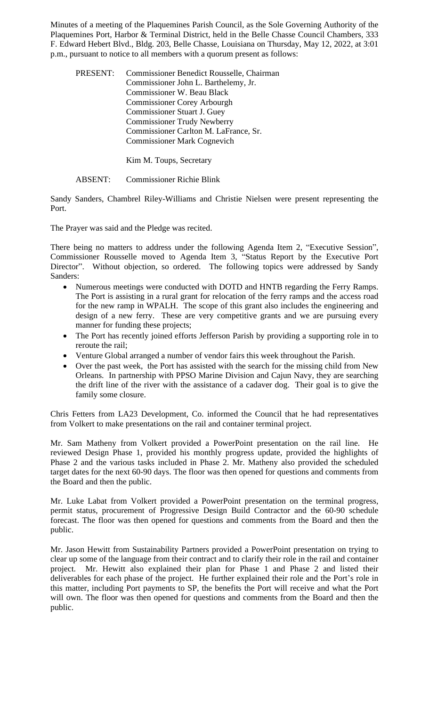Minutes of a meeting of the Plaquemines Parish Council, as the Sole Governing Authority of the Plaquemines Port, Harbor & Terminal District, held in the Belle Chasse Council Chambers, 333 F. Edward Hebert Blvd., Bldg. 203, Belle Chasse, Louisiana on Thursday, May 12, 2022, at 3:01 p.m., pursuant to notice to all members with a quorum present as follows:

| PRESENT: | Commissioner Benedict Rousselle, Chairman<br>Commissioner John L. Barthelemy, Jr.<br><b>Commissioner W. Beau Black</b><br><b>Commissioner Corey Arbourgh</b><br><b>Commissioner Stuart J. Guey</b><br><b>Commissioner Trudy Newberry</b><br>Commissioner Carlton M. LaFrance, Sr. |
|----------|-----------------------------------------------------------------------------------------------------------------------------------------------------------------------------------------------------------------------------------------------------------------------------------|
|          | <b>Commissioner Mark Cognevich</b>                                                                                                                                                                                                                                                |
|          |                                                                                                                                                                                                                                                                                   |

Kim M. Toups, Secretary

ABSENT: Commissioner Richie Blink

Sandy Sanders, Chambrel Riley-Williams and Christie Nielsen were present representing the Port.

The Prayer was said and the Pledge was recited.

There being no matters to address under the following Agenda Item 2, "Executive Session", Commissioner Rousselle moved to Agenda Item 3, "Status Report by the Executive Port Director". Without objection, so ordered. The following topics were addressed by Sandy Sanders:

- Numerous meetings were conducted with DOTD and HNTB regarding the Ferry Ramps. The Port is assisting in a rural grant for relocation of the ferry ramps and the access road for the new ramp in WPALH. The scope of this grant also includes the engineering and design of a new ferry. These are very competitive grants and we are pursuing every manner for funding these projects;
- The Port has recently joined efforts Jefferson Parish by providing a supporting role in to reroute the rail;
- Venture Global arranged a number of vendor fairs this week throughout the Parish.
- Over the past week, the Port has assisted with the search for the missing child from New Orleans. In partnership with PPSO Marine Division and Cajun Navy, they are searching the drift line of the river with the assistance of a cadaver dog. Their goal is to give the family some closure.

Chris Fetters from LA23 Development, Co. informed the Council that he had representatives from Volkert to make presentations on the rail and container terminal project.

Mr. Sam Matheny from Volkert provided a PowerPoint presentation on the rail line. He reviewed Design Phase 1, provided his monthly progress update, provided the highlights of Phase 2 and the various tasks included in Phase 2. Mr. Matheny also provided the scheduled target dates for the next 60-90 days. The floor was then opened for questions and comments from the Board and then the public.

Mr. Luke Labat from Volkert provided a PowerPoint presentation on the terminal progress, permit status, procurement of Progressive Design Build Contractor and the 60-90 schedule forecast. The floor was then opened for questions and comments from the Board and then the public.

Mr. Jason Hewitt from Sustainability Partners provided a PowerPoint presentation on trying to clear up some of the language from their contract and to clarify their role in the rail and container project. Mr. Hewitt also explained their plan for Phase 1 and Phase 2 and listed their deliverables for each phase of the project. He further explained their role and the Port's role in this matter, including Port payments to SP, the benefits the Port will receive and what the Port will own. The floor was then opened for questions and comments from the Board and then the public.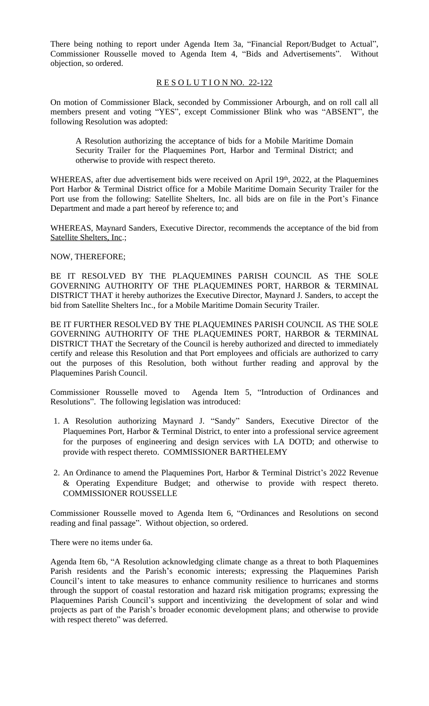There being nothing to report under Agenda Item 3a, "Financial Report/Budget to Actual", Commissioner Rousselle moved to Agenda Item 4, "Bids and Advertisements". Without objection, so ordered.

### R E S O L U T I O N NO. 22-122

On motion of Commissioner Black, seconded by Commissioner Arbourgh, and on roll call all members present and voting "YES", except Commissioner Blink who was "ABSENT", the following Resolution was adopted:

A Resolution authorizing the acceptance of bids for a Mobile Maritime Domain Security Trailer for the Plaquemines Port, Harbor and Terminal District; and otherwise to provide with respect thereto.

WHEREAS, after due advertisement bids were received on April 19th, 2022, at the Plaquemines Port Harbor & Terminal District office for a Mobile Maritime Domain Security Trailer for the Port use from the following: Satellite Shelters, Inc. all bids are on file in the Port's Finance Department and made a part hereof by reference to; and

WHEREAS, Maynard Sanders, Executive Director, recommends the acceptance of the bid from Satellite Shelters, Inc.;

NOW, THEREFORE;

BE IT RESOLVED BY THE PLAQUEMINES PARISH COUNCIL AS THE SOLE GOVERNING AUTHORITY OF THE PLAQUEMINES PORT, HARBOR & TERMINAL DISTRICT THAT it hereby authorizes the Executive Director, Maynard J. Sanders, to accept the bid from Satellite Shelters Inc., for a Mobile Maritime Domain Security Trailer.

BE IT FURTHER RESOLVED BY THE PLAQUEMINES PARISH COUNCIL AS THE SOLE GOVERNING AUTHORITY OF THE PLAQUEMINES PORT, HARBOR & TERMINAL DISTRICT THAT the Secretary of the Council is hereby authorized and directed to immediately certify and release this Resolution and that Port employees and officials are authorized to carry out the purposes of this Resolution, both without further reading and approval by the Plaquemines Parish Council.

Commissioner Rousselle moved to Agenda Item 5, "Introduction of Ordinances and Resolutions". The following legislation was introduced:

- 1. A Resolution authorizing Maynard J. "Sandy" Sanders, Executive Director of the Plaquemines Port, Harbor & Terminal District, to enter into a professional service agreement for the purposes of engineering and design services with LA DOTD; and otherwise to provide with respect thereto. COMMISSIONER BARTHELEMY
- 2. An Ordinance to amend the Plaquemines Port, Harbor & Terminal District's 2022 Revenue & Operating Expenditure Budget; and otherwise to provide with respect thereto. COMMISSIONER ROUSSELLE

Commissioner Rousselle moved to Agenda Item 6, "Ordinances and Resolutions on second reading and final passage". Without objection, so ordered.

There were no items under 6a.

Agenda Item 6b, "A Resolution acknowledging climate change as a threat to both Plaquemines Parish residents and the Parish's economic interests; expressing the Plaquemines Parish Council's intent to take measures to enhance community resilience to hurricanes and storms through the support of coastal restoration and hazard risk mitigation programs; expressing the Plaquemines Parish Council's support and incentivizing the development of solar and wind projects as part of the Parish's broader economic development plans; and otherwise to provide with respect thereto" was deferred.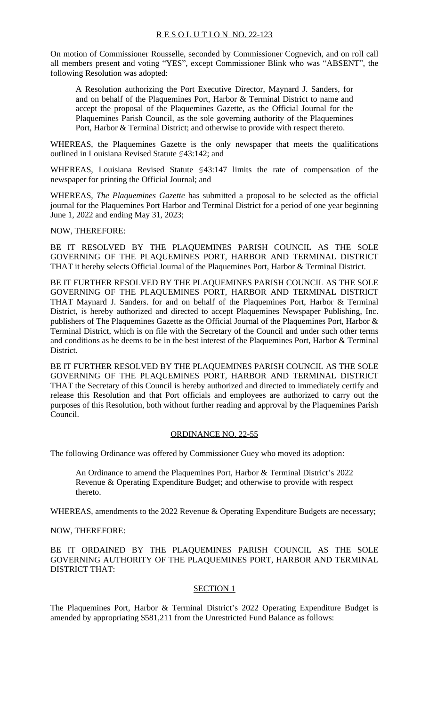On motion of Commissioner Rousselle, seconded by Commissioner Cognevich, and on roll call all members present and voting "YES", except Commissioner Blink who was "ABSENT", the following Resolution was adopted:

A Resolution authorizing the Port Executive Director, Maynard J. Sanders, for and on behalf of the Plaquemines Port, Harbor & Terminal District to name and accept the proposal of the Plaquemines Gazette, as the Official Journal for the Plaquemines Parish Council, as the sole governing authority of the Plaquemines Port, Harbor & Terminal District; and otherwise to provide with respect thereto.

WHEREAS, the Plaquemines Gazette is the only newspaper that meets the qualifications outlined in Louisiana Revised Statute §43:142; and

WHEREAS, Louisiana Revised Statute §43:147 limits the rate of compensation of the newspaper for printing the Official Journal; and

WHEREAS, *The Plaquemines Gazette* has submitted a proposal to be selected as the official journal for the Plaquemines Port Harbor and Terminal District for a period of one year beginning June 1, 2022 and ending May 31, 2023;

NOW, THEREFORE:

BE IT RESOLVED BY THE PLAQUEMINES PARISH COUNCIL AS THE SOLE GOVERNING OF THE PLAQUEMINES PORT, HARBOR AND TERMINAL DISTRICT THAT it hereby selects Official Journal of the Plaquemines Port, Harbor & Terminal District.

BE IT FURTHER RESOLVED BY THE PLAQUEMINES PARISH COUNCIL AS THE SOLE GOVERNING OF THE PLAQUEMINES PORT, HARBOR AND TERMINAL DISTRICT THAT Maynard J. Sanders. for and on behalf of the Plaquemines Port, Harbor & Terminal District, is hereby authorized and directed to accept Plaquemines Newspaper Publishing, Inc. publishers of The Plaquemines Gazette as the Official Journal of the Plaquemines Port, Harbor & Terminal District, which is on file with the Secretary of the Council and under such other terms and conditions as he deems to be in the best interest of the Plaquemines Port, Harbor & Terminal District.

BE IT FURTHER RESOLVED BY THE PLAQUEMINES PARISH COUNCIL AS THE SOLE GOVERNING OF THE PLAQUEMINES PORT, HARBOR AND TERMINAL DISTRICT THAT the Secretary of this Council is hereby authorized and directed to immediately certify and release this Resolution and that Port officials and employees are authorized to carry out the purposes of this Resolution, both without further reading and approval by the Plaquemines Parish Council.

## ORDINANCE NO. 22-55

The following Ordinance was offered by Commissioner Guey who moved its adoption:

An Ordinance to amend the Plaquemines Port, Harbor & Terminal District's 2022 Revenue & Operating Expenditure Budget; and otherwise to provide with respect thereto.

WHEREAS, amendments to the 2022 Revenue & Operating Expenditure Budgets are necessary;

NOW, THEREFORE:

BE IT ORDAINED BY THE PLAQUEMINES PARISH COUNCIL AS THE SOLE GOVERNING AUTHORITY OF THE PLAQUEMINES PORT, HARBOR AND TERMINAL DISTRICT THAT:

## SECTION 1

The Plaquemines Port, Harbor & Terminal District's 2022 Operating Expenditure Budget is amended by appropriating \$581,211 from the Unrestricted Fund Balance as follows: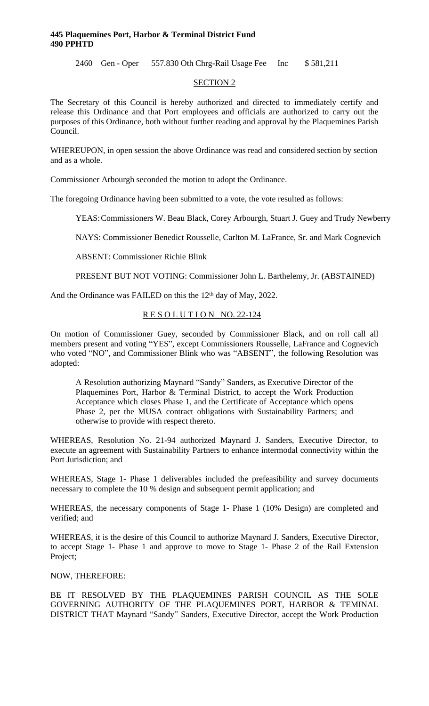#### **445 Plaquemines Port, Harbor & Terminal District Fund 490 PPHTD**

2460 Gen - Oper 557.830 Oth Chrg-Rail Usage Fee Inc \$ 581,211

#### SECTION 2

The Secretary of this Council is hereby authorized and directed to immediately certify and release this Ordinance and that Port employees and officials are authorized to carry out the purposes of this Ordinance, both without further reading and approval by the Plaquemines Parish Council.

WHEREUPON, in open session the above Ordinance was read and considered section by section and as a whole.

Commissioner Arbourgh seconded the motion to adopt the Ordinance.

The foregoing Ordinance having been submitted to a vote, the vote resulted as follows:

YEAS:Commissioners W. Beau Black, Corey Arbourgh, Stuart J. Guey and Trudy Newberry

NAYS: Commissioner Benedict Rousselle, Carlton M. LaFrance, Sr. and Mark Cognevich

ABSENT: Commissioner Richie Blink

PRESENT BUT NOT VOTING: Commissioner John L. Barthelemy, Jr. (ABSTAINED)

And the Ordinance was FAILED on this the 12<sup>th</sup> day of May, 2022.

## RESOLUTION NO. 22-124

On motion of Commissioner Guey, seconded by Commissioner Black, and on roll call all members present and voting "YES", except Commissioners Rousselle, LaFrance and Cognevich who voted "NO", and Commissioner Blink who was "ABSENT", the following Resolution was adopted:

A Resolution authorizing Maynard "Sandy" Sanders, as Executive Director of the Plaquemines Port, Harbor & Terminal District, to accept the Work Production Acceptance which closes Phase 1, and the Certificate of Acceptance which opens Phase 2, per the MUSA contract obligations with Sustainability Partners; and otherwise to provide with respect thereto.

WHEREAS, Resolution No. 21-94 authorized Maynard J. Sanders, Executive Director, to execute an agreement with Sustainability Partners to enhance intermodal connectivity within the Port Jurisdiction; and

WHEREAS, Stage 1- Phase 1 deliverables included the prefeasibility and survey documents necessary to complete the 10 % design and subsequent permit application; and

WHEREAS, the necessary components of Stage 1- Phase 1 (10% Design) are completed and verified; and

WHEREAS, it is the desire of this Council to authorize Maynard J. Sanders, Executive Director, to accept Stage 1- Phase 1 and approve to move to Stage 1- Phase 2 of the Rail Extension Project;

## NOW, THEREFORE:

BE IT RESOLVED BY THE PLAQUEMINES PARISH COUNCIL AS THE SOLE GOVERNING AUTHORITY OF THE PLAQUEMINES PORT, HARBOR & TEMINAL DISTRICT THAT Maynard "Sandy" Sanders, Executive Director, accept the Work Production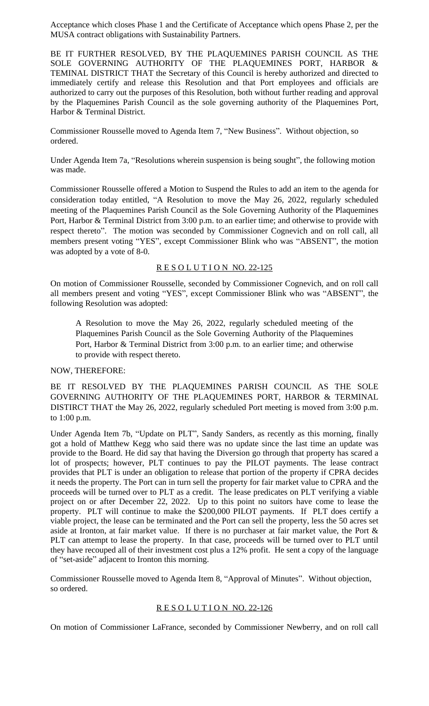Acceptance which closes Phase 1 and the Certificate of Acceptance which opens Phase 2, per the MUSA contract obligations with Sustainability Partners.

BE IT FURTHER RESOLVED, BY THE PLAQUEMINES PARISH COUNCIL AS THE SOLE GOVERNING AUTHORITY OF THE PLAQUEMINES PORT, HARBOR & TEMINAL DISTRICT THAT the Secretary of this Council is hereby authorized and directed to immediately certify and release this Resolution and that Port employees and officials are authorized to carry out the purposes of this Resolution, both without further reading and approval by the Plaquemines Parish Council as the sole governing authority of the Plaquemines Port, Harbor & Terminal District.

Commissioner Rousselle moved to Agenda Item 7, "New Business". Without objection, so ordered.

Under Agenda Item 7a, "Resolutions wherein suspension is being sought", the following motion was made.

Commissioner Rousselle offered a Motion to Suspend the Rules to add an item to the agenda for consideration today entitled, "A Resolution to move the May 26, 2022, regularly scheduled meeting of the Plaquemines Parish Council as the Sole Governing Authority of the Plaquemines Port, Harbor & Terminal District from 3:00 p.m. to an earlier time; and otherwise to provide with respect thereto". The motion was seconded by Commissioner Cognevich and on roll call, all members present voting "YES", except Commissioner Blink who was "ABSENT", the motion was adopted by a vote of 8-0.

#### RESOLUTION NO. 22-125

On motion of Commissioner Rousselle, seconded by Commissioner Cognevich, and on roll call all members present and voting "YES", except Commissioner Blink who was "ABSENT", the following Resolution was adopted:

A Resolution to move the May 26, 2022, regularly scheduled meeting of the Plaquemines Parish Council as the Sole Governing Authority of the Plaquemines Port, Harbor & Terminal District from 3:00 p.m. to an earlier time; and otherwise to provide with respect thereto.

# NOW, THEREFORE:

BE IT RESOLVED BY THE PLAQUEMINES PARISH COUNCIL AS THE SOLE GOVERNING AUTHORITY OF THE PLAQUEMINES PORT, HARBOR & TERMINAL DISTIRCT THAT the May 26, 2022, regularly scheduled Port meeting is moved from 3:00 p.m. to 1:00 p.m.

Under Agenda Item 7b, "Update on PLT", Sandy Sanders, as recently as this morning, finally got a hold of Matthew Kegg who said there was no update since the last time an update was provide to the Board. He did say that having the Diversion go through that property has scared a lot of prospects; however, PLT continues to pay the PILOT payments. The lease contract provides that PLT is under an obligation to release that portion of the property if CPRA decides it needs the property. The Port can in turn sell the property for fair market value to CPRA and the proceeds will be turned over to PLT as a credit. The lease predicates on PLT verifying a viable project on or after December 22, 2022. Up to this point no suitors have come to lease the property. PLT will continue to make the \$200,000 PILOT payments. If PLT does certify a viable project, the lease can be terminated and the Port can sell the property, less the 50 acres set aside at Ironton, at fair market value. If there is no purchaser at fair market value, the Port & PLT can attempt to lease the property. In that case, proceeds will be turned over to PLT until they have recouped all of their investment cost plus a 12% profit. He sent a copy of the language of "set-aside" adjacent to Ironton this morning.

Commissioner Rousselle moved to Agenda Item 8, "Approval of Minutes". Without objection, so ordered.

## RESOLUTION NO. 22-126

On motion of Commissioner LaFrance, seconded by Commissioner Newberry, and on roll call